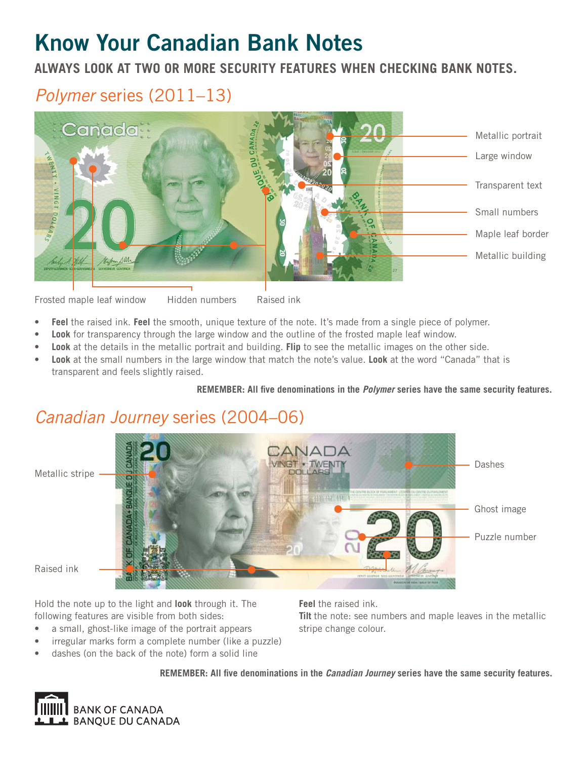# **Know Your Canadian Bank Notes**

**ALWAYS LOOK AT TWO OR MORE SECURITY FEATURES WHEN CHECKING BANK NOTES.**

### *Polymer* series (2011–13)



Frosted maple leaf window Hidden numbers Raised ink Hidden numbers

- **Feel** the raised ink. **Feel** the smooth, unique texture of the note. It's made from a single piece of polymer.
- **Look** for transparency through the large window and the outline of the frosted maple leaf window.
- **Look** at the details in the metallic portrait and building. **Flip** to see the metallic images on the other side.
- **Look** at the small numbers in the large window that match the note's value. **Look** at the word "Canada" that is transparent and feels slightly raised.

REMEMBER: All five denominations in the *Polymer* series have the same security features.

### *Canadian Journey* series (2004–06)



Raised ink

Hold the note up to the light and **look** through it. The following features are visible from both sides:

- a small, ghost-like image of the portrait appears
- irregular marks form a complete number (like a puzzle)
- dashes (on the back of the note) form a solid line

**Feel** the raised ink. **Tilt** the note: see numbers and maple leaves in the metallic stripe change colour.

**REMEMBER: All fi ve denominations in the** *Canadian Journey* **series have the same security features.**